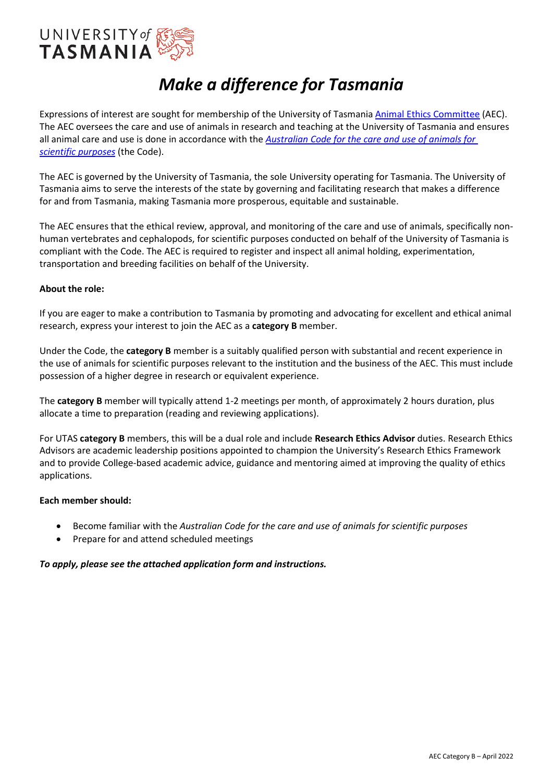

# *Make a difference for Tasmania*

Expressions of interest are sought for membership of the University of Tasmania [Animal Ethics Committee](https://www.utas.edu.au/research-admin/research-integrity-and-ethics-unit-rieu/animal-ethics) (AEC). The AEC oversees the care and use of animals in research and teaching at the University of Tasmania and ensures all animal care and use is done in accordance with the *[Australian Code for the care and use of animals for](https://www.nhmrc.gov.au/about-us/publications/australian-code-care-and-use-animals-scientific-purposes)  [scientific purposes](https://www.nhmrc.gov.au/about-us/publications/australian-code-care-and-use-animals-scientific-purposes)* (the Code).

The AEC is governed by the University of Tasmania, the sole University operating for Tasmania. The University of Tasmania aims to serve the interests of the state by governing and facilitating research that makes a difference for and from Tasmania, making Tasmania more prosperous, equitable and sustainable.

The AEC ensures that the ethical review, approval, and monitoring of the care and use of animals, specifically nonhuman vertebrates and cephalopods, for scientific purposes conducted on behalf of the University of Tasmania is compliant with the Code. The AEC is required to register and inspect all animal holding, experimentation, transportation and breeding facilities on behalf of the University.

#### **About the role:**

If you are eager to make a contribution to Tasmania by promoting and advocating for excellent and ethical animal research, express your interest to join the AEC as a **category B** member.

Under the Code, the **category B** member is a suitably qualified person with substantial and recent experience in the use of animals for scientific purposes relevant to the institution and the business of the AEC. This must include possession of a higher degree in research or equivalent experience.

The **category B** member will typically attend 1-2 meetings per month, of approximately 2 hours duration, plus allocate a time to preparation (reading and reviewing applications).

For UTAS **category B** members, this will be a dual role and include **Research Ethics Advisor** duties. Research Ethics Advisors are academic leadership positions appointed to champion the University's Research Ethics Framework and to provide College-based academic advice, guidance and mentoring aimed at improving the quality of ethics applications.

#### **Each member should:**

- Become familiar with the *Australian Code for the care and use of animals for scientific purposes*
- Prepare for and attend scheduled meetings

#### *To apply, please see the attached application form and instructions.*